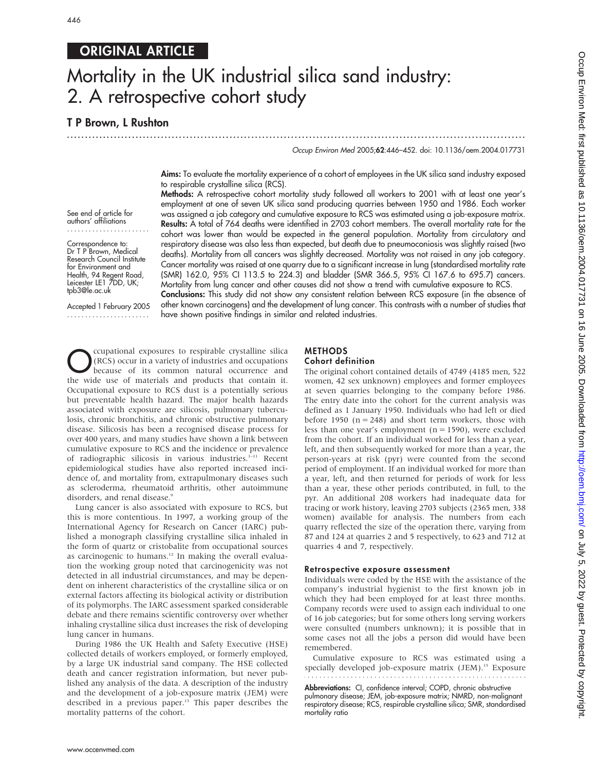# ORIGINAL ARTICLE

# Mortality in the UK industrial silica sand industry: 2. A retrospective cohort study

...............................................................................................................................

T P Brown, L Rushton

#### Occup Environ Med 2005;62:446–452. doi: 10.1136/oem.2004.017731

Aims: To evaluate the mortality experience of a cohort of employees in the UK silica sand industry exposed to respirable crystalline silica (RCS).

Methods: A retrospective cohort mortality study followed all workers to 2001 with at least one year's employment at one of seven UK silica sand producing quarries between 1950 and 1986. Each worker was assigned a job category and cumulative exposure to RCS was estimated using a job-exposure matrix. Results: A total of 764 deaths were identified in 2703 cohort members. The overall mortality rate for the cohort was lower than would be expected in the general population. Mortality from circulatory and respiratory disease was also less than expected, but death due to pneumoconiosis was slightly raised (two deaths). Mortality from all cancers was slightly decreased. Mortality was not raised in any job category. Cancer mortality was raised at one quarry due to a significant increase in lung (standardised mortality rate (SMR) 162.0, 95% CI 113.5 to 224.3) and bladder (SMR 366.5, 95% CI 167.6 to 695.7) cancers.

for Environment and Health, 94 Regent Road, Leicester LE1 7DD, UK; tpb3@le.ac.uk

See end of article for authors' affiliations ....................... Correspondence to: Dr T P Brown, Medical Research Council Institute

Accepted 1 February 2005 .......................

Mortality from lung cancer and other causes did not show a trend with cumulative exposure to RCS. Conclusions: This study did not show any consistent relation between RCS exposure (in the absence of other known carcinogens) and the development of lung cancer. This contrasts with a number of studies that have shown positive findings in similar and related industries.

Compational exposures to respirable crystalline silica<br>
because of its common natural occurrence and<br>
the wide use of materials and products that contain it (RCS) occur in a variety of industries and occupations the wide use of materials and products that contain it. Occupational exposure to RCS dust is a potentially serious but preventable health hazard. The major health hazards associated with exposure are silicosis, pulmonary tuberculosis, chronic bronchitis, and chronic obstructive pulmonary disease. Silicosis has been a recognised disease process for over 400 years, and many studies have shown a link between cumulative exposure to RCS and the incidence or prevalence of radiographic silicosis in various industries.<sup>1-11</sup> Recent epidemiological studies have also reported increased incidence of, and mortality from, extrapulmonary diseases such as scleroderma, rheumatoid arthritis, other autoimmune disorders, and renal disease.9

Lung cancer is also associated with exposure to RCS, but this is more contentious. In 1997, a working group of the International Agency for Research on Cancer (IARC) published a monograph classifying crystalline silica inhaled in the form of quartz or cristobalite from occupational sources as carcinogenic to humans.<sup>12</sup> In making the overall evaluation the working group noted that carcinogenicity was not detected in all industrial circumstances, and may be dependent on inherent characteristics of the crystalline silica or on external factors affecting its biological activity or distribution of its polymorphs. The IARC assessment sparked considerable debate and there remains scientific controversy over whether inhaling crystalline silica dust increases the risk of developing lung cancer in humans.

During 1986 the UK Health and Safety Executive (HSE) collected details of workers employed, or formerly employed, by a large UK industrial sand company. The HSE collected death and cancer registration information, but never published any analysis of the data. A description of the industry and the development of a job-exposure matrix (JEM) were described in a previous paper.<sup>13</sup> This paper describes the mortality patterns of the cohort.

#### METHODS Cohort definition

The original cohort contained details of 4749 (4185 men, 522 women, 42 sex unknown) employees and former employees at seven quarries belonging to the company before 1986. The entry date into the cohort for the current analysis was defined as 1 January 1950. Individuals who had left or died before 1950 ( $n = 248$ ) and short term workers, those with less than one year's employment ( $n = 1590$ ), were excluded from the cohort. If an individual worked for less than a year, left, and then subsequently worked for more than a year, the person-years at risk (pyr) were counted from the second period of employment. If an individual worked for more than a year, left, and then returned for periods of work for less than a year, these other periods contributed, in full, to the pyr. An additional 208 workers had inadequate data for tracing or work history, leaving 2703 subjects (2365 men, 338 women) available for analysis. The numbers from each quarry reflected the size of the operation there, varying from 87 and 124 at quarries 2 and 5 respectively, to 623 and 712 at quarries 4 and 7, respectively.

#### Retrospective exposure assessment

Individuals were coded by the HSE with the assistance of the company's industrial hygienist to the first known job in which they had been employed for at least three months. Company records were used to assign each individual to one of 16 job categories; but for some others long serving workers were consulted (numbers unknown); it is possible that in some cases not all the jobs a person did would have been remembered.

Cumulative exposure to RCS was estimated using a specially developed job-exposure matrix  $(JEM)^{13}$  Exposure

Abbreviations: CI, confidence interval; COPD, chronic obstructive

pulmonary disease; JEM, job-exposure matrix; NMRD, non-malignant respiratory disease; RCS, respirable crystalline silica; SMR, standardised mortality ratio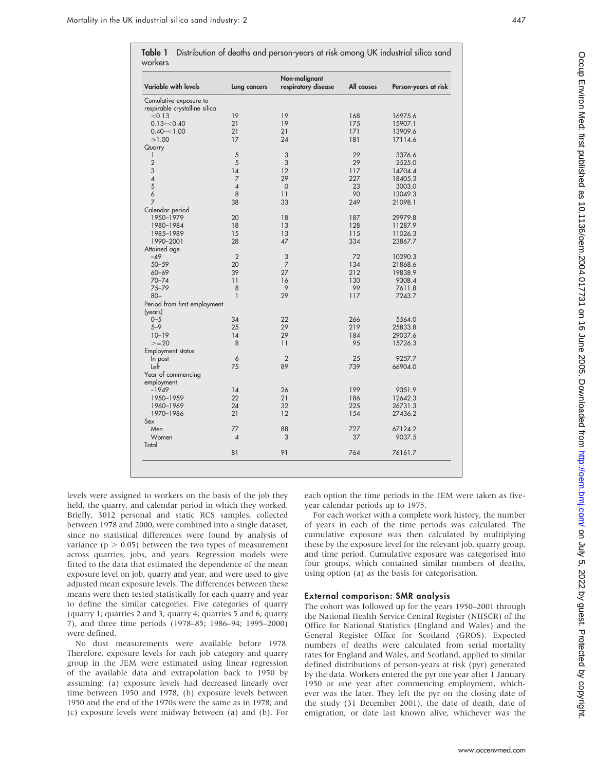| Variable with levels          | Lung cancers   | Non-malignant<br>respiratory disease | All causes | Person-years at risk |
|-------------------------------|----------------|--------------------------------------|------------|----------------------|
| Cumulative exposure to        |                |                                      |            |                      |
| respirable crystalline silica |                |                                      |            |                      |
| < 0.13                        | 19             | 19                                   | 168        | 16975.6              |
| $0.13 - 0.40$                 | 21             | 19                                   | 175        | 15907.1              |
| $0.40 - 1.00$                 | 21             | 21                                   | 171        | 13909.6              |
| $\geq 1.00$                   | 17             | 24                                   | 181        | 17114.6              |
| Quarry                        |                |                                      |            |                      |
| 1                             | 5              | 3                                    | 29         | 3376.6               |
| $\overline{2}$                | 5              | 3                                    | 29         | 2525.0               |
| 3                             | 14             | 12                                   | 117        | 14704.4              |
| 4                             | 7              | 29                                   | 227        | 18405.3              |
| 5                             | $\overline{4}$ | $\mathbf 0$                          | 23         | 3003.0               |
| 6                             | 8              | 11                                   | 90         | 13049.3              |
| 7                             | 38             | 33                                   | 249        | 21098.1              |
| Calendar period               |                |                                      |            |                      |
| 1950-1979                     | 20             | 18                                   | 187        | 29979.8              |
| 1980-1984                     | 18             | 13                                   | 128        | 11287.9              |
| 1985-1989                     | 15             | 13                                   | 115        | 11026.3              |
| 1990-2001                     | 28             | 47                                   | 334        | 23867.7              |
| Attained age                  |                |                                      |            |                      |
| $-49$                         | $\overline{2}$ | 3                                    | 72         | 10290.3              |
| $50 - 59$                     | 20             | $\overline{7}$                       | 134        | 21868.6              |
| $60 - 69$                     | 39             | 27                                   | 212        | 19838.9              |
| $70 - 74$                     | 11             | 16                                   | 130        | 9308.4               |
| $75 - 79$                     | 8              | 9                                    | 99         | 7611.8               |
| $80 +$                        | $\mathbf{1}$   | 29                                   | 117        | 7243.7               |
| Period from first employment  |                |                                      |            |                      |
| (years)                       |                |                                      |            |                      |
| $0 - 5$                       | 34             | 22                                   | 266        | 5564.0               |
| $5 - 9$                       | 25             | 29                                   | 219        | 25833.8              |
| $10 - 19$                     | 14             | 29                                   | 184        | 29037.6              |
| $>= 20$                       | 8              | 11                                   | 95         | 15726.3              |
| <b>Employment status</b>      |                |                                      |            |                      |
| In post                       | 6              | $\overline{2}$                       | 25         | 9257.7               |
| Left                          | 75             | 89                                   | 739        | 66904.0              |
| Year of commencing            |                |                                      |            |                      |
| employment<br>$-1949$         | 14             | 26                                   | 199        |                      |
|                               | 22             |                                      |            | 9351.9               |
| 1950-1959                     | 24             | 21<br>32                             | 186<br>225 | 12642.3              |
| 1960-1969                     |                |                                      |            | 26731.3              |
| 1970-1986                     | 21             | 12                                   | 154        | 27436.2              |
| Sex                           |                |                                      |            |                      |
| Men                           | 77             | 88                                   | 727        | 67124.2              |
| Women                         | $\overline{4}$ | 3                                    | 37         | 9037.5               |
| Total                         | 81             | 91                                   | 764        | 76161.7              |

levels were assigned to workers on the basis of the job they held, the quarry, and calendar period in which they worked. Briefly, 3012 personal and static RCS samples, collected between 1978 and 2000, were combined into a single dataset, since no statistical differences were found by analysis of variance ( $p > 0.05$ ) between the two types of measurement across quarries, jobs, and years. Regression models were fitted to the data that estimated the dependence of the mean exposure level on job, quarry and year, and were used to give adjusted mean exposure levels. The differences between these means were then tested statistically for each quarry and year to define the similar categories. Five categories of quarry (quarry 1; quarries 2 and 3; quarry 4; quarries 5 and 6; quarry 7), and three time periods (1978–85; 1986–94; 1995–2000) were defined.

No dust measurements were available before 1978. Therefore, exposure levels for each job category and quarry group in the JEM were estimated using linear regression of the available data and extrapolation back to 1950 by assuming: (a) exposure levels had decreased linearly over time between 1950 and 1978; (b) exposure levels between 1950 and the end of the 1970s were the same as in 1978; and (c) exposure levels were midway between (a) and (b). For each option the time periods in the JEM were taken as fiveyear calendar periods up to 1975.

For each worker with a complete work history, the number of years in each of the time periods was calculated. The cumulative exposure was then calculated by multiplying these by the exposure level for the relevant job, quarry group, and time period. Cumulative exposure was categorised into four groups, which contained similar numbers of deaths, using option (a) as the basis for categorisation.

#### External comparison: SMR analysis

The cohort was followed up for the years 1950–2001 through the National Health Service Central Register (NHSCR) of the Office for National Statistics (England and Wales) and the General Register Office for Scotland (GROS). Expected numbers of deaths were calculated from serial mortality rates for England and Wales, and Scotland, applied to similar defined distributions of person-years at risk (pyr) generated by the data. Workers entered the pyr one year after 1 January 1950 or one year after commencing employment, whichever was the later. They left the pyr on the closing date of the study (31 December 2001), the date of death, date of emigration, or date last known alive, whichever was the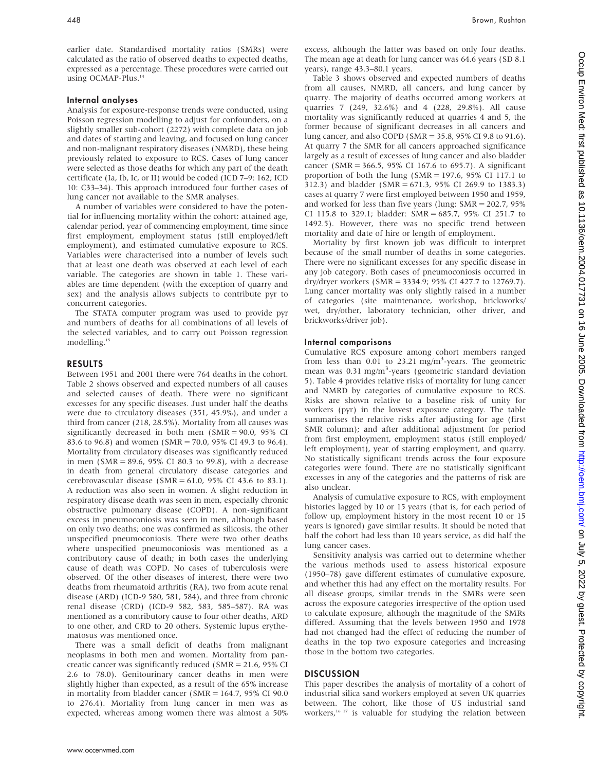earlier date. Standardised mortality ratios (SMRs) were calculated as the ratio of observed deaths to expected deaths, expressed as a percentage. These procedures were carried out using OCMAP-Plus.<sup>14</sup>

#### Internal analyses

Analysis for exposure-response trends were conducted, using Poisson regression modelling to adjust for confounders, on a slightly smaller sub-cohort (2272) with complete data on job and dates of starting and leaving, and focused on lung cancer and non-malignant respiratory diseases (NMRD), these being previously related to exposure to RCS. Cases of lung cancer were selected as those deaths for which any part of the death certificate (Ia, Ib, Ic, or II) would be coded (ICD 7–9: 162; ICD 10: C33–34). This approach introduced four further cases of lung cancer not available to the SMR analyses.

A number of variables were considered to have the potential for influencing mortality within the cohort: attained age, calendar period, year of commencing employment, time since first employment, employment status (still employed/left employment), and estimated cumulative exposure to RCS. Variables were characterised into a number of levels such that at least one death was observed at each level of each variable. The categories are shown in table 1. These variables are time dependent (with the exception of quarry and sex) and the analysis allows subjects to contribute pyr to concurrent categories.

The STATA computer program was used to provide pyr and numbers of deaths for all combinations of all levels of the selected variables, and to carry out Poisson regression modelling.<sup>15</sup>

#### RESULTS

Between 1951 and 2001 there were 764 deaths in the cohort. Table 2 shows observed and expected numbers of all causes and selected causes of death. There were no significant excesses for any specific diseases. Just under half the deaths were due to circulatory diseases (351, 45.9%), and under a third from cancer (218, 28.5%). Mortality from all causes was significantly decreased in both men (SMR = 90.0, 95% CI 83.6 to 96.8) and women (SMR = 70.0, 95% CI 49.3 to 96.4). Mortality from circulatory diseases was significantly reduced in men (SMR = 89.6, 95% CI 80.3 to 99.8), with a decrease in death from general circulatory disease categories and cerebrovascular disease (SMR =  $61.0$ , 95% CI 43.6 to 83.1). A reduction was also seen in women. A slight reduction in respiratory disease death was seen in men, especially chronic obstructive pulmonary disease (COPD). A non-significant excess in pneumoconiosis was seen in men, although based on only two deaths; one was confirmed as silicosis, the other unspecified pneumoconiosis. There were two other deaths where unspecified pneumoconiosis was mentioned as a contributory cause of death; in both cases the underlying cause of death was COPD. No cases of tuberculosis were observed. Of the other diseases of interest, there were two deaths from rheumatoid arthritis (RA), two from acute renal disease (ARD) (ICD-9 580, 581, 584), and three from chronic renal disease (CRD) (ICD-9 582, 583, 585–587). RA was mentioned as a contributory cause to four other deaths, ARD to one other, and CRD to 20 others. Systemic lupus erythematosus was mentioned once.

There was a small deficit of deaths from malignant neoplasms in both men and women. Mortality from pancreatic cancer was significantly reduced (SMR = 21.6, 95% CI 2.6 to 78.0). Genitourinary cancer deaths in men were slightly higher than expected, as a result of the 65% increase in mortality from bladder cancer ( $SMR = 164.7$ ,  $95\%$  CI  $90.0$ to 276.4). Mortality from lung cancer in men was as expected, whereas among women there was almost a 50% excess, although the latter was based on only four deaths. The mean age at death for lung cancer was 64.6 years (SD 8.1 years), range 43.3–80.1 years.

Table 3 shows observed and expected numbers of deaths from all causes, NMRD, all cancers, and lung cancer by quarry. The majority of deaths occurred among workers at quarries 7 (249, 32.6%) and 4 (228, 29.8%). All cause mortality was significantly reduced at quarries 4 and 5, the former because of significant decreases in all cancers and lung cancer, and also COPD (SMR = 35.8, 95% CI 9.8 to 91.6). At quarry 7 the SMR for all cancers approached significance largely as a result of excesses of lung cancer and also bladder cancer (SMR = 366.5, 95% CI 167.6 to 695.7). A significant proportion of both the lung (SMR = 197.6, 95% CI 117.1 to 312.3) and bladder (SMR = 671.3, 95% CI 269.9 to 1383.3) cases at quarry 7 were first employed between 1950 and 1959, and worked for less than five years (lung: SMR = 202.7, 95% CI 115.8 to 329.1; bladder: SMR = 685.7, 95% CI 251.7 to 1492.5). However, there was no specific trend between mortality and date of hire or length of employment.

Mortality by first known job was difficult to interpret because of the small number of deaths in some categories. There were no significant excesses for any specific disease in any job category. Both cases of pneumoconiosis occurred in dry/dryer workers (SMR = 3334.9; 95% CI 427.7 to 12769.7). Lung cancer mortality was only slightly raised in a number of categories (site maintenance, workshop, brickworks/ wet, dry/other, laboratory technician, other driver, and brickworks/driver job).

### Internal comparisons

Cumulative RCS exposure among cohort members ranged from less than  $0.01$  to 23.21 mg/m<sup>3</sup>-years. The geometric mean was 0.31 mg/m<sup>3</sup>-years (geometric standard deviation 5). Table 4 provides relative risks of mortality for lung cancer and NMRD by categories of cumulative exposure to RCS. Risks are shown relative to a baseline risk of unity for workers (pyr) in the lowest exposure category. The table summarises the relative risks after adjusting for age (first SMR column); and after additional adjustment for period from first employment, employment status (still employed/ left employment), year of starting employment, and quarry. No statistically significant trends across the four exposure categories were found. There are no statistically significant excesses in any of the categories and the patterns of risk are also unclear.

Analysis of cumulative exposure to RCS, with employment histories lagged by 10 or 15 years (that is, for each period of follow up, employment history in the most recent 10 or 15 years is ignored) gave similar results. It should be noted that half the cohort had less than 10 years service, as did half the lung cancer cases.

Sensitivity analysis was carried out to determine whether the various methods used to assess historical exposure (1950–78) gave different estimates of cumulative exposure, and whether this had any effect on the mortality results. For all disease groups, similar trends in the SMRs were seen across the exposure categories irrespective of the option used to calculate exposure, although the magnitude of the SMRs differed. Assuming that the levels between 1950 and 1978 had not changed had the effect of reducing the number of deaths in the top two exposure categories and increasing those in the bottom two categories.

## **DISCUSSION**

This paper describes the analysis of mortality of a cohort of industrial silica sand workers employed at seven UK quarries between. The cohort, like those of US industrial sand workers,<sup>16 17</sup> is valuable for studying the relation between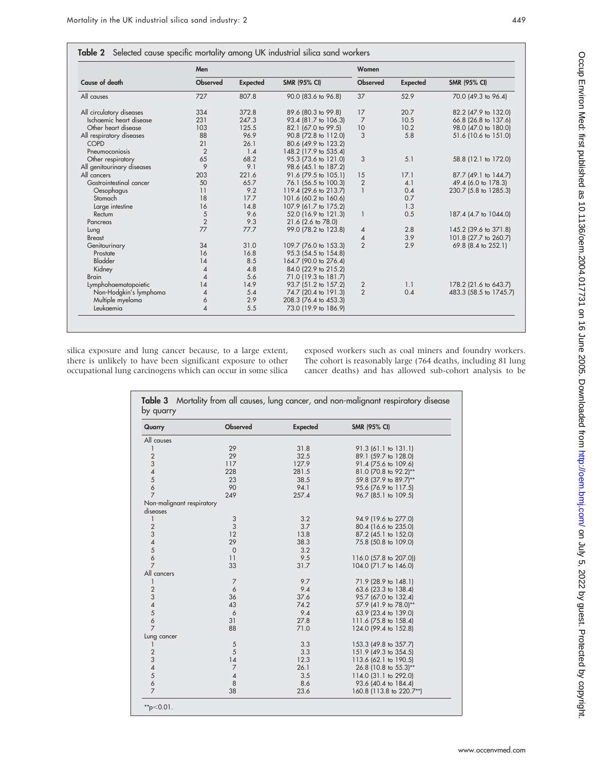|                            |                                    |       | Table 2 Selected cause specific mortality among UK industrial silica sand workers |                |                 |                        |  |
|----------------------------|------------------------------------|-------|-----------------------------------------------------------------------------------|----------------|-----------------|------------------------|--|
|                            | Men                                |       | Women                                                                             |                |                 |                        |  |
| Cause of death             | <b>Observed</b><br><b>Expected</b> |       | <b>SMR (95% CI)</b>                                                               | Observed       | <b>Expected</b> | <b>SMR (95% CI)</b>    |  |
| All causes                 | 727                                | 807.8 | 90.0 (83.6 to 96.8)                                                               | 37             | 52.9            | 70.0 (49.3 to 96.4)    |  |
| All circulatory diseases   | 334                                | 372.8 | 89.6 (80.3 to 99.8)                                                               | 17             | 20.7            | 82.2 (47.9 to 132.0)   |  |
| Ischaemic heart disease    | 231                                | 247.3 | 93.4 (81.7 to 106.3)                                                              | $\overline{7}$ | 10.5            | 66.8 (26.8 to 137.6)   |  |
| Other heart disease        | 103                                | 125.5 | 82.1 (67.0 to 99.5)                                                               | 10             | 10.2            | 98.0 (47.0 to 180.0)   |  |
| All respiratory diseases   | 88                                 | 96.9  | 90.8 (72.8 to 112.0)                                                              | 3              | 5.8             | 51.6 (10.6 to 151.0)   |  |
| <b>COPD</b>                | 21                                 | 26.1  | 80.6 (49.9 to 123.2)                                                              |                |                 |                        |  |
| Pneumoconiosis             | $\overline{2}$                     | 1.4   | 148.2 (17.9 to 535.4)                                                             |                |                 |                        |  |
| Other respiratory          | 65                                 | 68.2  | 95.3 (73.6 to 121.0)                                                              | 3              | 5.1             | 58.8 (12.1 to 172.0)   |  |
| All genitourinary diseases | 9                                  | 9.1   | 98.6 (45.1 to 187.2)                                                              |                |                 |                        |  |
| All cancers                | 203                                | 221.6 | 91.6 (79.5 to 105.1)                                                              | 15             | 17.1            | 87.7 (49.1 to 144.7)   |  |
| Gastrointestinal cancer    | 50                                 | 65.7  | 76.1 (56.5 to 100.3)                                                              | $\overline{2}$ | 4.1             | 49.4 (6.0 to 178.3)    |  |
| Oesophagus                 | 11                                 | 9.2   | 119.4 (29.6 to 213.7)                                                             | $\mathbf{1}$   | 0.4             | 230.7 (5.8 to 1285.3)  |  |
| Stomach                    | 18                                 | 17.7  | 101.6 (60.2 to 160.6)                                                             |                | 0.7             |                        |  |
| Large intestine            | 16                                 | 14.8  | 107.9 (61.7 to 175.2)                                                             |                | 1.3             |                        |  |
| Rectum                     | 5                                  | 9.6   | 52.0 (16.9 to 121.3)                                                              | $\mathbf{1}$   | 0.5             | 187.4 (4.7 to 1044.0)  |  |
| Pancreas                   | $\overline{2}$                     | 9.3   | 21.6 (2.6 to 78.0)                                                                |                |                 |                        |  |
| Lung                       | 77                                 | 77.7  | 99.0 (78.2 to 123.8)                                                              | 4              | 2.8             | 145.2 (39.6 to 371.8)  |  |
| <b>Breast</b>              |                                    |       |                                                                                   | $\overline{4}$ | 3.9             | 101.8 (27.7 to 260.7)  |  |
| Genitourinary              | 34                                 | 31.0  | 109.7 (76.0 to 153.3)                                                             | $\overline{2}$ | 2.9             | 69.8 (8.4 to 252.1)    |  |
| Prostate                   | 16                                 | 16.8  | 95.3 (54.5 to 154.8)                                                              |                |                 |                        |  |
| Bladder                    | 14                                 | 8.5   | 164.7 (90.0 to 276.4)                                                             |                |                 |                        |  |
| Kidney                     | $\overline{4}$                     | 4.8   | 84.0 (22.9 to 215.2)                                                              |                |                 |                        |  |
| <b>Brain</b>               | 4                                  | 5.6   | 71.0 (19.3 to 181.7)                                                              |                |                 |                        |  |
| Lymphohaematopoietic       | 14                                 | 14.9  | 93.7 (51.2 to 157.2)                                                              | 2              | 1.1             | 178.2 (21.6 to 643.7)  |  |
| Non-Hodgkin's lymphoma     | $\overline{\mathcal{A}}$           | 5.4   | 74.7 (20.4 to 191.3)                                                              | $\overline{2}$ | 0.4             | 483.3 (58.5 to 1745.7) |  |

silica exposure and lung cancer because, to a large extent, there is unlikely to have been significant exposure to other occupational lung carcinogens which can occur in some silica

Multiple myeloma 6 2.9 208.3 (76.4 to 453.3) Leukaemia 4 5.5 73.0 (19.9 to 186.9)

> exposed workers such as coal miners and foundry workers. The cohort is reasonably large (764 deaths, including 81 lung cancer deaths) and has allowed sub-cohort analysis to be

| Quarry                                | Observed         | <b>Expected</b> | <b>SMR (95% CI)</b>      |
|---------------------------------------|------------------|-----------------|--------------------------|
| All causes                            |                  |                 |                          |
|                                       | 29               | 31.8            | 91.3 (61.1 to 131.1)     |
| $\overline{2}$                        | 29               | 32.5            | 89.1 (59.7 to 128.0)     |
| 3                                     | 117              | 127.9           | 91.4 (75.6 to 109.6)     |
| $\pmb{4}$                             | 228              | 281.5           | 81.0 (70.8 to 92.2)**    |
|                                       | 23               | 38.5            | 59.8 (37.9 to 89.7)**    |
| $\begin{array}{c} 5 \\ 6 \end{array}$ | 90               | 94.1            | 95.6 (76.9 to 117.5)     |
| $\overline{7}$                        | 249              | 257.4           | 96.7 (85.1 to 109.5)     |
| Non-malignant respiratory             |                  |                 |                          |
| diseases                              |                  |                 |                          |
| 1                                     | 3                | 3.2             | 94.9 (19.6 to 277.0)     |
| $\overline{2}$                        | 3                | 3.7             | 80.4 (16.6 to 235.0)     |
| $\mathfrak{Z}$                        | 12               | 13.8            | 87.2 (45.1 to 152.0)     |
| $\overline{\mathcal{A}}$              | 29               | 38.3            | 75.8 (50.8 to 109.0)     |
|                                       | $\mathbf 0$      | 3.2             |                          |
| $\frac{5}{6}$                         | 11               | 9.5             | 116.0 (57.8 to 207.0))   |
| $\overline{7}$                        | 33               | 31.7            | 104.0 (71.7 to 146.0)    |
| All cancers                           |                  |                 |                          |
| 1                                     | $\overline{7}$   | 9.7             | 71.9 (28.9 to 148.1)     |
| $\overline{2}$                        | $\acute{\rm{o}}$ | 9.4             | 63.6 (23.3 to 138.4)     |
| 3                                     | 36               | 37.6            | 95.7 (67.0 to 132.4)     |
| $\pmb{4}$                             | 43               | 74.2            | 57.9 (41.9 to 78.0)**    |
| 5                                     | 6                | 9.4             | 63.9 (23.4 to 139.0)     |
| $\ddot{\circ}$                        | 31               | 27.8            | 111.6 (75.8 to 158.4)    |
| $\overline{7}$                        | 88               | 71.0            | 124.0 (99.4 to 152.8)    |
| Lung cancer                           |                  |                 |                          |
| 1                                     | 5                | 3.3             | 153.3 (49.8 to 357.7)    |
| $\overline{2}$                        | 5                | 3.3             | 151.9 (49.3 to 354.5)    |
| 3                                     | 14               | 12.3            | 113.6 (62.1 to 190.5)    |
|                                       | 7                | 26.1            | 26.8 (10.8 to 55.3)**    |
| $\frac{4}{5}$                         | $\overline{4}$   | 3.5             | 114.0 (31.1 to 292.0)    |
| $\acute{\rm{o}}$                      | 8                | 8.6             | 93.6 (40.4 to 184.4)     |
| $\overline{7}$                        | 38               | 23.6            | 160.8 (113.8 to 220.7**) |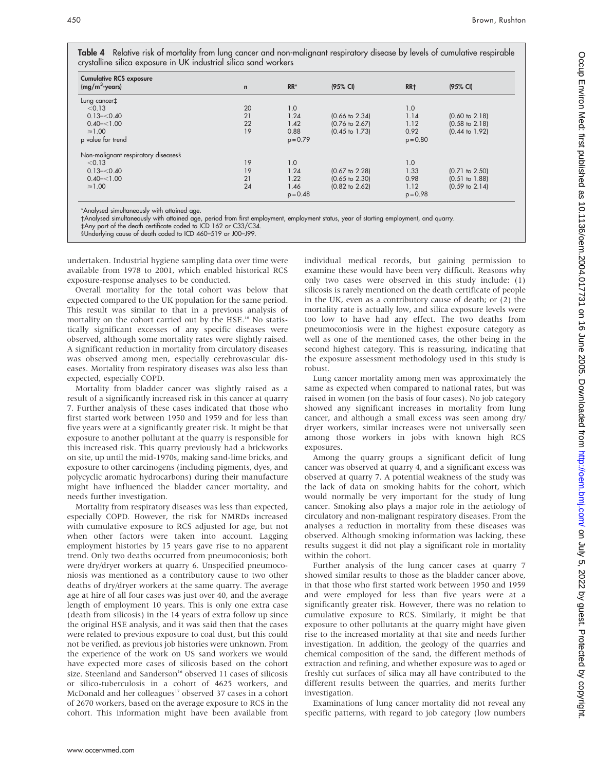| Table 4 Relative risk of mortality from lung cancer and non-malignant respiratory disease by levels of cumulative respirable |  |  |  |  |  |
|------------------------------------------------------------------------------------------------------------------------------|--|--|--|--|--|
| crystalline silica exposure in UK i̇́ndustrial silica sand workers                                                           |  |  |  |  |  |

| <b>Cumulative RCS exposure</b><br>$(mg/m3-years)$ | $\mathbf n$ | $RR*$      | (95% CI)                  | RR+        | (95% CI)                  |
|---------------------------------------------------|-------------|------------|---------------------------|------------|---------------------------|
| Lung cancer <sup>+</sup>                          |             |            |                           |            |                           |
| < 0.13                                            | 20          | 1.0        |                           | 1.0        |                           |
| $0.13 - 0.40$                                     | 21          | 1.24       | $(0.66 \text{ to } 2.34)$ | 1.14       | $(0.60 \text{ to } 2.18)$ |
| $0.40 - 1.00$                                     | 22          | 1.42       | $(0.76 \text{ to } 2.67)$ | 1.12       | $(0.58 \text{ to } 2.18)$ |
| $\geq 1.00$                                       | 19          | 0.88       | $(0.45 \text{ to } 1.73)$ | 0.92       | $(0.44 \text{ to } 1.92)$ |
| p value for trend                                 |             | $p = 0.79$ |                           | $p = 0.80$ |                           |
| Non-malignant respiratory diseases §              |             |            |                           |            |                           |
| < 0.13                                            | 19          | 1.0        |                           | 1.0        |                           |
| $0.13 - 0.40$                                     | 19          | 1.24       | $(0.67 \text{ to } 2.28)$ | 1.33       | $(0.71$ to $2.50)$        |
| $0.40 - 1.00$                                     | 21          | 1.22       | $(0.65 \text{ to } 2.30)$ | 0.98       | $(0.51$ to $1.88)$        |
| $\geq 1.00$                                       | 24          | 1.46       | $(0.82 \text{ to } 2.62)$ | 1.12       | $(0.59 \text{ to } 2.14)$ |
|                                                   |             | $p = 0.48$ |                           | $p = 0.98$ |                           |

\*Analysed simultaneously with attained age.

Analysed simultaneously with attained age, period from first employment, employment status, year of starting employment, and quarry.

`Any part of the death certificate coded to ICD 162 or C33/C34.

1Underlying cause of death coded to ICD 460–519 or J00–J99.

undertaken. Industrial hygiene sampling data over time were available from 1978 to 2001, which enabled historical RCS exposure-response analyses to be conducted.

Overall mortality for the total cohort was below that expected compared to the UK population for the same period. This result was similar to that in a previous analysis of mortality on the cohort carried out by the HSE.<sup>18</sup> No statistically significant excesses of any specific diseases were observed, although some mortality rates were slightly raised. A significant reduction in mortality from circulatory diseases was observed among men, especially cerebrovascular diseases. Mortality from respiratory diseases was also less than expected, especially COPD.

Mortality from bladder cancer was slightly raised as a result of a significantly increased risk in this cancer at quarry 7. Further analysis of these cases indicated that those who first started work between 1950 and 1959 and for less than five years were at a significantly greater risk. It might be that exposure to another pollutant at the quarry is responsible for this increased risk. This quarry previously had a brickworks on site, up until the mid-1970s, making sand-lime bricks, and exposure to other carcinogens (including pigments, dyes, and polycyclic aromatic hydrocarbons) during their manufacture might have influenced the bladder cancer mortality, and needs further investigation.

Mortality from respiratory diseases was less than expected, especially COPD. However, the risk for NMRDs increased with cumulative exposure to RCS adjusted for age, but not when other factors were taken into account. Lagging employment histories by 15 years gave rise to no apparent trend. Only two deaths occurred from pneumoconiosis; both were dry/dryer workers at quarry 6. Unspecified pneumoconiosis was mentioned as a contributory cause to two other deaths of dry/dryer workers at the same quarry. The average age at hire of all four cases was just over 40, and the average length of employment 10 years. This is only one extra case (death from silicosis) in the 14 years of extra follow up since the original HSE analysis, and it was said then that the cases were related to previous exposure to coal dust, but this could not be verified, as previous job histories were unknown. From the experience of the work on US sand workers we would have expected more cases of silicosis based on the cohort size. Steenland and Sanderson<sup>16</sup> observed 11 cases of silicosis or silico-tuberculosis in a cohort of 4625 workers, and McDonald and her colleagues<sup>17</sup> observed 37 cases in a cohort of 2670 workers, based on the average exposure to RCS in the cohort. This information might have been available from individual medical records, but gaining permission to examine these would have been very difficult. Reasons why only two cases were observed in this study include: (1) silicosis is rarely mentioned on the death certificate of people in the UK, even as a contributory cause of death; or (2) the mortality rate is actually low, and silica exposure levels were too low to have had any effect. The two deaths from pneumoconiosis were in the highest exposure category as well as one of the mentioned cases, the other being in the second highest category. This is reassuring, indicating that the exposure assessment methodology used in this study is robust.

Lung cancer mortality among men was approximately the same as expected when compared to national rates, but was raised in women (on the basis of four cases). No job category showed any significant increases in mortality from lung cancer, and although a small excess was seen among dry/ dryer workers, similar increases were not universally seen among those workers in jobs with known high RCS exposures.

Among the quarry groups a significant deficit of lung cancer was observed at quarry 4, and a significant excess was observed at quarry 7. A potential weakness of the study was the lack of data on smoking habits for the cohort, which would normally be very important for the study of lung cancer. Smoking also plays a major role in the aetiology of circulatory and non-malignant respiratory diseases. From the analyses a reduction in mortality from these diseases was observed. Although smoking information was lacking, these results suggest it did not play a significant role in mortality within the cohort.

Further analysis of the lung cancer cases at quarry 7 showed similar results to those as the bladder cancer above, in that those who first started work between 1950 and 1959 and were employed for less than five years were at a significantly greater risk. However, there was no relation to cumulative exposure to RCS. Similarly, it might be that exposure to other pollutants at the quarry might have given rise to the increased mortality at that site and needs further investigation. In addition, the geology of the quarries and chemical composition of the sand, the different methods of extraction and refining, and whether exposure was to aged or freshly cut surfaces of silica may all have contributed to the different results between the quarries, and merits further investigation.

Examinations of lung cancer mortality did not reveal any specific patterns, with regard to job category (low numbers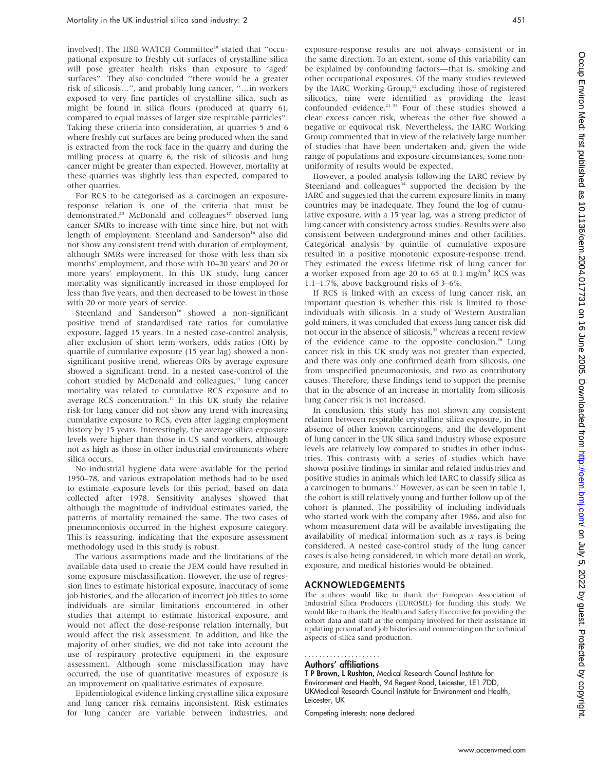involved). The HSE WATCH Committee<sup>19</sup> stated that "occupational exposure to freshly cut surfaces of crystalline silica will pose greater health risks than exposure to 'aged' surfaces''. They also concluded ''there would be a greater risk of silicosis…'', and probably lung cancer, ''…in workers exposed to very fine particles of crystalline silica, such as might be found in silica flours (produced at quarry 6), compared to equal masses of larger size respirable particles''. Taking these criteria into consideration, at quarries 5 and 6 where freshly cut surfaces are being produced when the sand is extracted from the rock face in the quarry and during the milling process at quarry 6, the risk of silicosis and lung cancer might be greater than expected. However, mortality at these quarries was slightly less than expected, compared to other quarries.

For RCS to be categorised as a carcinogen an exposureresponse relation is one of the criteria that must be demonstrated.<sup>20</sup> McDonald and colleagues<sup>17</sup> observed lung cancer SMRs to increase with time since hire, but not with length of employment. Steenland and Sanderson<sup>16</sup> also did not show any consistent trend with duration of employment, although SMRs were increased for those with less than six months' employment, and those with 10–20 years' and 20 or more years' employment. In this UK study, lung cancer mortality was significantly increased in those employed for less than five years, and then decreased to be lowest in those with 20 or more years of service.

Steenland and Sanderson<sup>16</sup> showed a non-significant positive trend of standardised rate ratios for cumulative exposure, lagged 15 years. In a nested case-control analysis, after exclusion of short term workers, odds ratios (OR) by quartile of cumulative exposure (15 year lag) showed a nonsignificant positive trend, whereas ORs by average exposure showed a significant trend. In a nested case-control of the cohort studied by McDonald and colleagues,<sup>17</sup> lung cancer mortality was related to cumulative RCS exposure and to average RCS concentration.<sup>11</sup> In this UK study the relative risk for lung cancer did not show any trend with increasing cumulative exposure to RCS, even after lagging employment history by 15 years. Interestingly, the average silica exposure levels were higher than those in US sand workers, although not as high as those in other industrial environments where silica occurs.

No industrial hygiene data were available for the period 1950–78, and various extrapolation methods had to be used to estimate exposure levels for this period, based on data collected after 1978. Sensitivity analyses showed that although the magnitude of individual estimates varied, the patterns of mortality remained the same. The two cases of pneumoconiosis occurred in the highest exposure category. This is reassuring, indicating that the exposure assessment methodology used in this study is robust.

The various assumptions made and the limitations of the available data used to create the JEM could have resulted in some exposure misclassification. However, the use of regression lines to estimate historical exposure, inaccuracy of some job histories, and the allocation of incorrect job titles to some individuals are similar limitations encountered in other studies that attempt to estimate historical exposure, and would not affect the dose-response relation internally, but would affect the risk assessment. In addition, and like the majority of other studies, we did not take into account the use of respiratory protective equipment in the exposure assessment. Although some misclassification may have occurred, the use of quantitative measures of exposure is an improvement on qualitative estimates of exposure.

Epidemiological evidence linking crystalline silica exposure and lung cancer risk remains inconsistent. Risk estimates for lung cancer are variable between industries, and exposure-response results are not always consistent or in the same direction. To an extent, some of this variability can be explained by confounding factors—that is, smoking and other occupational exposures. Of the many studies reviewed by the IARC Working Group,<sup>12</sup> excluding those of registered silicotics, nine were identified as providing the least confounded evidence.<sup>21-33</sup> Four of these studies showed a clear excess cancer risk, whereas the other five showed a negative or equivocal risk. Nevertheless, the IARC Working Group commented that in view of the relatively large number of studies that have been undertaken and, given the wide range of populations and exposure circumstances, some nonuniformity of results would be expected.

However, a pooled analysis following the IARC review by Steenland and colleagues<sup>34</sup> supported the decision by the IARC and suggested that the current exposure limits in many countries may be inadequate. They found the log of cumulative exposure, with a 15 year lag, was a strong predictor of lung cancer with consistency across studies. Results were also consistent between underground mines and other facilities. Categorical analysis by quintile of cumulative exposure resulted in a positive monotonic exposure-response trend. They estimated the excess lifetime risk of lung cancer for a worker exposed from age 20 to 65 at 0.1 mg/m<sup>3</sup> RCS was 1.1–1.7%, above background risks of 3–6%.

If RCS is linked with an excess of lung cancer risk, an important question is whether this risk is limited to those individuals with silicosis. In a study of Western Australian gold miners, it was concluded that excess lung cancer risk did not occur in the absence of silicosis,<sup>35</sup> whereas a recent review of the evidence came to the opposite conclusion.<sup>36</sup> Lung cancer risk in this UK study was not greater than expected, and there was only one confirmed death from silicosis, one from unspecified pneumoconiosis, and two as contributory causes. Therefore, these findings tend to support the premise that in the absence of an increase in mortality from silicosis lung cancer risk is not increased.

In conclusion, this study has not shown any consistent relation between respirable crystalline silica exposure, in the absence of other known carcinogens, and the development of lung cancer in the UK silica sand industry whose exposure levels are relatively low compared to studies in other industries. This contrasts with a series of studies which have shown positive findings in similar and related industries and positive studies in animals which led IARC to classify silica as a carcinogen to humans.<sup>12</sup> However, as can be seen in table 1, the cohort is still relatively young and further follow up of the cohort is planned. The possibility of including individuals who started work with the company after 1986, and also for whom measurement data will be available investigating the availability of medical information such as  $x$  rays is being considered. A nested case-control study of the lung cancer cases is also being considered, in which more detail on work, exposure, and medical histories would be obtained.

#### ACKNOWLEDGEMENTS

The authors would like to thank the European Association of Industrial Silica Producers (EUROSIL) for funding this study. We would like to thank the Health and Safety Executive for providing the cohort data and staff at the company involved for their assistance in updating personal and job histories and commenting on the technical aspects of silica sand production.

#### Authors' affiliations .....................

T P Brown, L Rushton, Medical Research Council Institute for Environment and Health, 94 Regent Road, Leicester, LE1 7DD, UKMedical Research Council Institute for Environment and Health, Leicester, UK

Competing interests: none declared